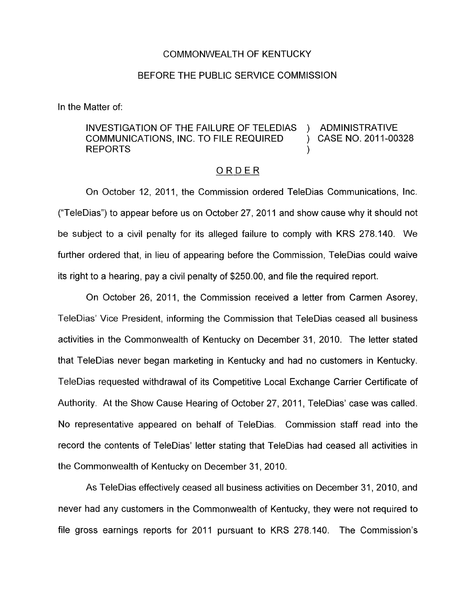## COMMONWEALTH OF KENTUCKY

## BEFORE THE PUBLIC SERVICE COMMISSION

In the Matter of:

## INVESTIGATION OF THE FAILURE OF TELEDIAS ) ADMINISTRATIVE COMMUNICATIONS, INC. TO FILE REQUIRED (3) CASE NO. 2011-00328 REPORTS (Section 2008)

## ORDER

On October 12, 2011, the Commission ordered TeleDias Communications, Inc. ("TeleDias") to appear before us on October 27, 2011 and show cause why it should not be subject to a civil penalty for its alleged failure to comply with KRS 278.140. We further ordered that, in lieu of appearing before the Commission, TeleDias could waive its right to a hearing, pay a civil penalty of \$250.00, and file the required report.

On October 26, 2011, the Commission received a letter from Carmen Asorey, TeleDias' Vice President, informing the Commission that TeleDias ceased all business activities in the Commonwealth of Kentucky on December 31, 2010. The letter stated that TeleDias never began marketing in Kentucky and had no customers in Kentucky. TeleDias requested withdrawal of its Competitive Local Exchange Carrier Certificate of Authority. At the Show Cause Hearing of October 27, 2011, TeleDias' case was called. No representative appeared on behalf of TeleDias. Commission staff read into the record the contents of TeleDias' letter stating that TeleDias had ceased all activities in the Commonwealth of Kentucky on December 31,2010.

As TeleDias effectively ceased all business activities on December 31, 2010, and never had any customers in the Commonwealth of Kentucky, they were not required to file gross earnings reports for 2011 pursuant to KRS 278.140. The Commission's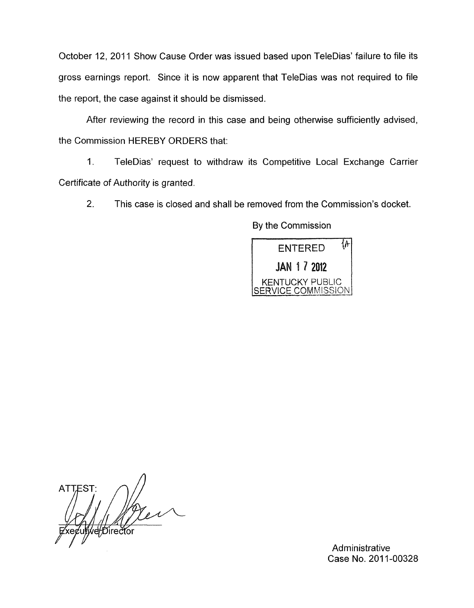October 12, 2011 Show Cause Order was issued based upon TeleDias' failure to file its gross earnings report. Since it is now apparent that TeleDias was not required to file the report, the case against it should be dismissed.

After reviewing the record in this case and being otherwise sufficiently advised, the Commission HEREBY ORDERS that:

1. TeleDias' request to withdraw its Competitive Local Exchange Carrier Certificate of Authority is granted.

2. This case is closed and shall be removed from the Commission's docket.

By the Commission



**ATTEST:** ve/Director

**Administrative** Case No. 2011-00328